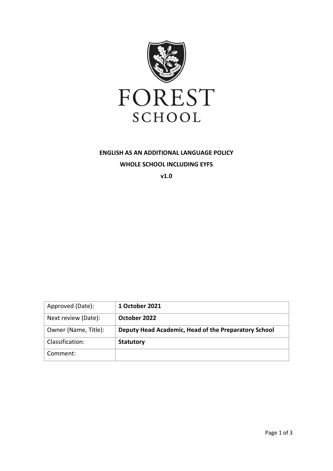

# **ENGLISH AS AN ADDITIONAL LANGUAGE POLICY WHOLE SCHOOL INCLUDING EYFS**

**v1.0**

| Approved (Date):     | 1 October 2021                                       |
|----------------------|------------------------------------------------------|
| Next review (Date):  | October 2022                                         |
| Owner (Name, Title): | Deputy Head Academic, Head of the Preparatory School |
| Classification:      | <b>Statutory</b>                                     |
| Comment:             |                                                      |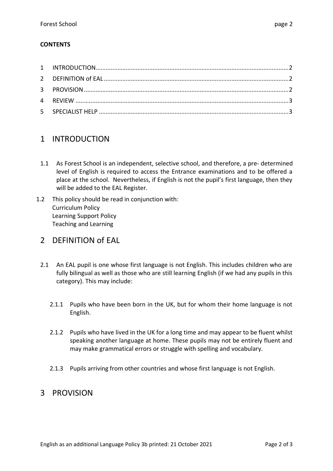#### **CONTENTS**

## 1 INTRODUCTION

- 1.1 As Forest School is an independent, selective school, and therefore, a pre- determined level of English is required to access the Entrance examinations and to be offered a place at the school. Nevertheless, if English is not the pupil's first language, then they will be added to the EAL Register.
- 1.2 This policy should be read in conjunction with: Curriculum Policy Learning Support Policy Teaching and Learning

## 2 DEFINITION of EAL

- 2.1 An EAL pupil is one whose first language is not English. This includes children who are fully bilingual as well as those who are still learning English (if we had any pupils in this category). This may include:
	- 2.1.1 Pupils who have been born in the UK, but for whom their home language is not English.
	- 2.1.2 Pupils who have lived in the UK for a long time and may appear to be fluent whilst speaking another language at home. These pupils may not be entirely fluent and may make grammatical errors or struggle with spelling and vocabulary.
	- 2.1.3 Pupils arriving from other countries and whose first language is not English.

## 3 PROVISION